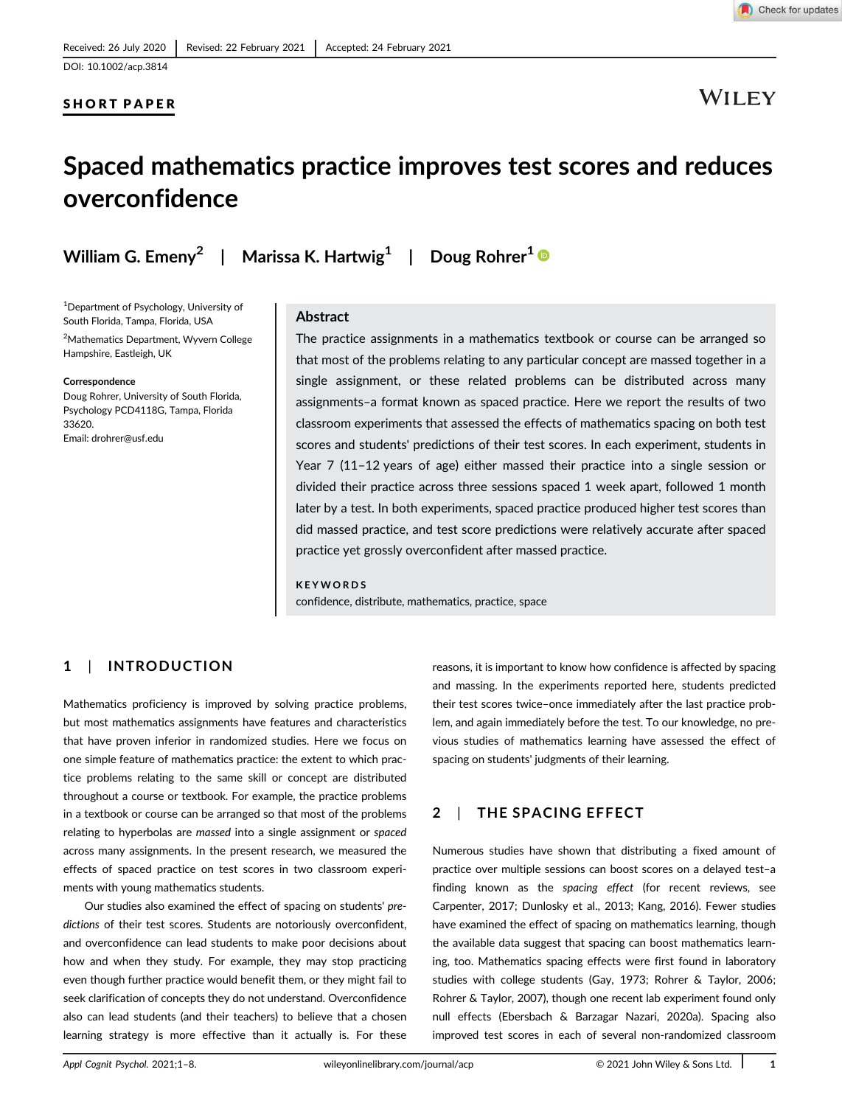## SHORT PAPER

**WILEY** 

## Spaced mathematics practice improves test scores and reduces overconfidence

William G. Emeny $^2\;\;\mid\;\;$  Marissa K. Hartwig $^1\;\;\mid\;\;$  Doug Rohrer $^1$ 

<sup>1</sup>Department of Psychology, University of South Florida, Tampa, Florida, USA

<sup>2</sup>Mathematics Department, Wyvern College Hampshire, Eastleigh, UK

#### Correspondence

Doug Rohrer, University of South Florida, Psychology PCD4118G, Tampa, Florida 33620. Email: drohrer@usf.edu

#### Abstract

The practice assignments in a mathematics textbook or course can be arranged so that most of the problems relating to any particular concept are massed together in a single assignment, or these related problems can be distributed across many assignments–a format known as spaced practice. Here we report the results of two classroom experiments that assessed the effects of mathematics spacing on both test scores and students' predictions of their test scores. In each experiment, students in Year 7 (11–12 years of age) either massed their practice into a single session or divided their practice across three sessions spaced 1 week apart, followed 1 month later by a test. In both experiments, spaced practice produced higher test scores than did massed practice, and test score predictions were relatively accurate after spaced practice yet grossly overconfident after massed practice.

KEYWORDS confidence, distribute, mathematics, practice, space

## 1 | INTRODUCTION

Mathematics proficiency is improved by solving practice problems, but most mathematics assignments have features and characteristics that have proven inferior in randomized studies. Here we focus on one simple feature of mathematics practice: the extent to which practice problems relating to the same skill or concept are distributed throughout a course or textbook. For example, the practice problems in a textbook or course can be arranged so that most of the problems relating to hyperbolas are *massed* into a single assignment or *spaced* across many assignments. In the present research, we measured the effects of spaced practice on test scores in two classroom experiments with young mathematics students.

Our studies also examined the effect of spacing on students' *predictions* of their test scores. Students are notoriously overconfident, and overconfidence can lead students to make poor decisions about how and when they study. For example, they may stop practicing even though further practice would benefit them, or they might fail to seek clarification of concepts they do not understand. Overconfidence also can lead students (and their teachers) to believe that a chosen learning strategy is more effective than it actually is. For these

reasons, it is important to know how confidence is affected by spacing and massing. In the experiments reported here, students predicted their test scores twice–once immediately after the last practice problem, and again immediately before the test. To our knowledge, no previous studies of mathematics learning have assessed the effect of spacing on students' judgments of their learning.

## 2 | THE SPACING EFFECT

Numerous studies have shown that distributing a fixed amount of practice over multiple sessions can boost scores on a delayed test–a finding known as the *spacing effect* (for recent reviews, see Carpenter, 2017; Dunlosky et al., 2013; Kang, 2016). Fewer studies have examined the effect of spacing on mathematics learning, though the available data suggest that spacing can boost mathematics learning, too. Mathematics spacing effects were first found in laboratory studies with college students (Gay, 1973; Rohrer & Taylor, 2006; Rohrer & Taylor, 2007), though one recent lab experiment found only null effects (Ebersbach & Barzagar Nazari, 2020a). Spacing also improved test scores in each of several non-randomized classroom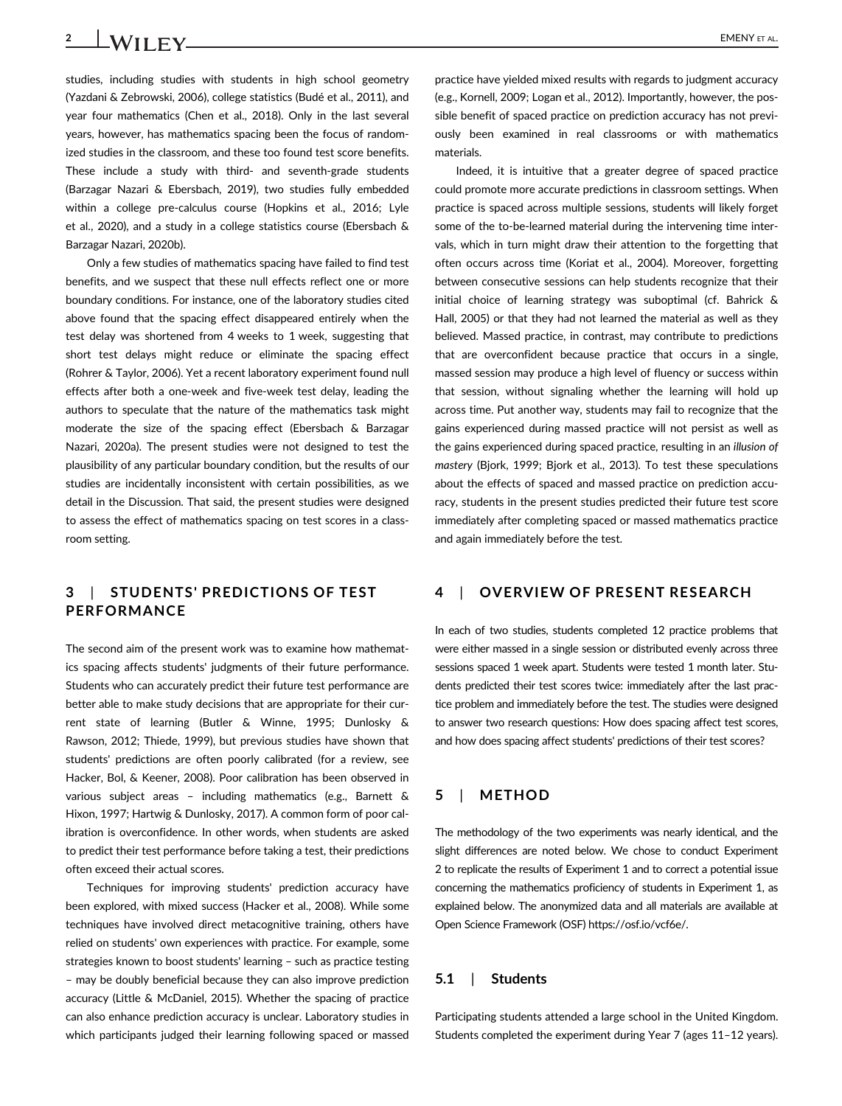studies, including studies with students in high school geometry (Yazdani & Zebrowski, 2006), college statistics (Budé et al., 2011), and year four mathematics (Chen et al., 2018). Only in the last several years, however, has mathematics spacing been the focus of randomized studies in the classroom, and these too found test score benefits. These include a study with third- and seventh-grade students (Barzagar Nazari & Ebersbach, 2019), two studies fully embedded within a college pre-calculus course (Hopkins et al., 2016; Lyle et al., 2020), and a study in a college statistics course (Ebersbach & Barzagar Nazari, 2020b).

Only a few studies of mathematics spacing have failed to find test benefits, and we suspect that these null effects reflect one or more boundary conditions. For instance, one of the laboratory studies cited above found that the spacing effect disappeared entirely when the test delay was shortened from 4 weeks to 1 week, suggesting that short test delays might reduce or eliminate the spacing effect (Rohrer & Taylor, 2006). Yet a recent laboratory experiment found null effects after both a one-week and five-week test delay, leading the authors to speculate that the nature of the mathematics task might moderate the size of the spacing effect (Ebersbach & Barzagar Nazari, 2020a). The present studies were not designed to test the plausibility of any particular boundary condition, but the results of our studies are incidentally inconsistent with certain possibilities, as we detail in the Discussion. That said, the present studies were designed to assess the effect of mathematics spacing on test scores in a classroom setting.

## 3 | STUDENTS' PREDICTIONS OF TEST PERFORMANCE

The second aim of the present work was to examine how mathematics spacing affects students' judgments of their future performance. Students who can accurately predict their future test performance are better able to make study decisions that are appropriate for their current state of learning (Butler & Winne, 1995; Dunlosky & Rawson, 2012; Thiede, 1999), but previous studies have shown that students' predictions are often poorly calibrated (for a review, see Hacker, Bol, & Keener, 2008). Poor calibration has been observed in various subject areas – including mathematics (e.g., Barnett & Hixon, 1997; Hartwig & Dunlosky, 2017). A common form of poor calibration is overconfidence. In other words, when students are asked to predict their test performance before taking a test, their predictions often exceed their actual scores.

Techniques for improving students' prediction accuracy have been explored, with mixed success (Hacker et al., 2008). While some techniques have involved direct metacognitive training, others have relied on students' own experiences with practice. For example, some strategies known to boost students' learning – such as practice testing – may be doubly beneficial because they can also improve prediction accuracy (Little & McDaniel, 2015). Whether the spacing of practice can also enhance prediction accuracy is unclear. Laboratory studies in which participants judged their learning following spaced or massed practice have yielded mixed results with regards to judgment accuracy (e.g., Kornell, 2009; Logan et al., 2012). Importantly, however, the possible benefit of spaced practice on prediction accuracy has not previously been examined in real classrooms or with mathematics materials.

Indeed, it is intuitive that a greater degree of spaced practice could promote more accurate predictions in classroom settings. When practice is spaced across multiple sessions, students will likely forget some of the to-be-learned material during the intervening time intervals, which in turn might draw their attention to the forgetting that often occurs across time (Koriat et al., 2004). Moreover, forgetting between consecutive sessions can help students recognize that their initial choice of learning strategy was suboptimal (cf. Bahrick & Hall, 2005) or that they had not learned the material as well as they believed. Massed practice, in contrast, may contribute to predictions that are overconfident because practice that occurs in a single, massed session may produce a high level of fluency or success within that session, without signaling whether the learning will hold up across time. Put another way, students may fail to recognize that the gains experienced during massed practice will not persist as well as the gains experienced during spaced practice, resulting in an *illusion of mastery* (Bjork, 1999; Bjork et al., 2013). To test these speculations about the effects of spaced and massed practice on prediction accuracy, students in the present studies predicted their future test score immediately after completing spaced or massed mathematics practice and again immediately before the test.

## 4 | OVERVIEW OF PRESENT RESEARCH

In each of two studies, students completed 12 practice problems that were either massed in a single session or distributed evenly across three sessions spaced 1 week apart. Students were tested 1 month later. Students predicted their test scores twice: immediately after the last practice problem and immediately before the test. The studies were designed to answer two research questions: How does spacing affect test scores, and how does spacing affect students' predictions of their test scores?

## 5 | METHOD

The methodology of the two experiments was nearly identical, and the slight differences are noted below. We chose to conduct Experiment 2 to replicate the results of Experiment 1 and to correct a potential issue concerning the mathematics proficiency of students in Experiment 1, as explained below. The anonymized data and all materials are available at Open Science Framework (OSF) https://osf.io/vcf6e/.

#### 5.1 | Students

Participating students attended a large school in the United Kingdom. Students completed the experiment during Year 7 (ages 11–12 years).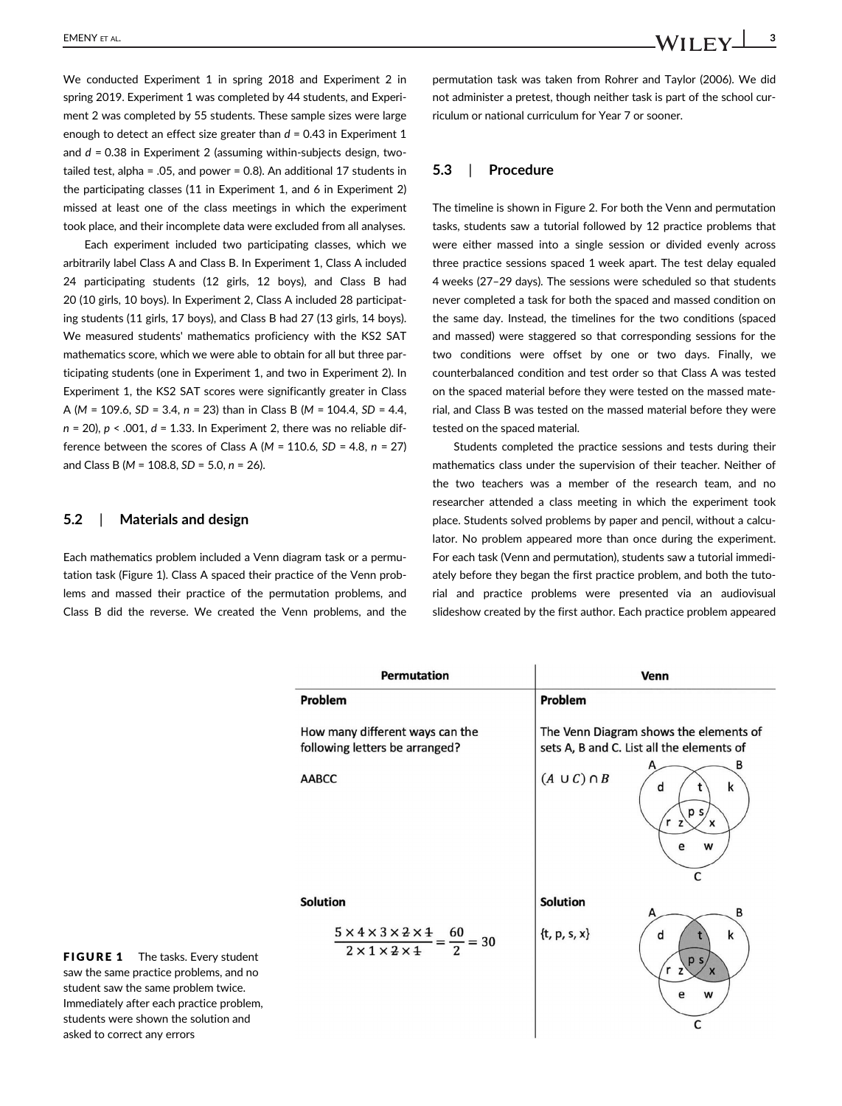We conducted Experiment 1 in spring 2018 and Experiment 2 in spring 2019. Experiment 1 was completed by 44 students, and Experiment 2 was completed by 55 students. These sample sizes were large enough to detect an effect size greater than  $d = 0.43$  in Experiment 1 and *d* = 0.38 in Experiment 2 (assuming within-subjects design, twotailed test, alpha = .05, and power = 0.8). An additional 17 students in the participating classes (11 in Experiment 1, and 6 in Experiment 2) missed at least one of the class meetings in which the experiment took place, and their incomplete data were excluded from all analyses.

Each experiment included two participating classes, which we arbitrarily label Class A and Class B. In Experiment 1, Class A included 24 participating students (12 girls, 12 boys), and Class B had 20 (10 girls, 10 boys). In Experiment 2, Class A included 28 participating students (11 girls, 17 boys), and Class B had 27 (13 girls, 14 boys). We measured students' mathematics proficiency with the KS2 SAT mathematics score, which we were able to obtain for all but three participating students (one in Experiment 1, and two in Experiment 2). In Experiment 1, the KS2 SAT scores were significantly greater in Class A (*M* = 109.6, *SD* = 3.4, *n* = 23) than in Class B (*M* = 104.4, *SD* = 4.4, *n* = 20), *p* < .001, *d* = 1.33. In Experiment 2, there was no reliable difference between the scores of Class A (*M* = 110.6*, SD* = 4.8, *n* = 27) and Class B (*M* = 108.8, *SD* = 5.0, *n* = 26).

#### 5.2 | Materials and design

Each mathematics problem included a Venn diagram task or a permutation task (Figure 1). Class A spaced their practice of the Venn problems and massed their practice of the permutation problems, and Class B did the reverse. We created the Venn problems, and the permutation task was taken from Rohrer and Taylor (2006). We did not administer a pretest, though neither task is part of the school curriculum or national curriculum for Year 7 or sooner.

## 5.3 | Procedure

The timeline is shown in Figure 2. For both the Venn and permutation tasks, students saw a tutorial followed by 12 practice problems that were either massed into a single session or divided evenly across three practice sessions spaced 1 week apart. The test delay equaled 4 weeks (27–29 days). The sessions were scheduled so that students never completed a task for both the spaced and massed condition on the same day. Instead, the timelines for the two conditions (spaced and massed) were staggered so that corresponding sessions for the two conditions were offset by one or two days. Finally, we counterbalanced condition and test order so that Class A was tested on the spaced material before they were tested on the massed material, and Class B was tested on the massed material before they were tested on the spaced material.

Students completed the practice sessions and tests during their mathematics class under the supervision of their teacher. Neither of the two teachers was a member of the research team, and no researcher attended a class meeting in which the experiment took place. Students solved problems by paper and pencil, without a calculator. No problem appeared more than once during the experiment. For each task (Venn and permutation), students saw a tutorial immediately before they began the first practice problem, and both the tutorial and practice problems were presented via an audiovisual slideshow created by the first author. Each practice problem appeared

|                        | <b>Permutation</b>                                                                                  | <b>Venn</b>                                                                         |
|------------------------|-----------------------------------------------------------------------------------------------------|-------------------------------------------------------------------------------------|
|                        | Problem                                                                                             | Problem                                                                             |
|                        | How many different ways can the<br>following letters be arranged?                                   | The Venn Diagram shows the elements of<br>sets A, B and C. List all the elements of |
|                        | <b>AABCC</b>                                                                                        | в<br>$(A \cup C) \cap B$<br>k<br>d<br>p s<br>r <sub>z</sub><br>X<br>e<br>W<br>C     |
|                        | <b>Solution</b>                                                                                     | <b>Solution</b><br>B                                                                |
| ent<br>no<br>lem,<br>d | $\frac{5 \times 4 \times 3 \times 2 \times 4}{2 \times 1 \times 2 \times 4} =$<br>60<br>$= 30$<br>2 | $\{t, p, s, x\}$<br>k<br>d<br>p s<br>r <sub>z</sub><br>$\mathbf{x}$<br>e<br>W       |
|                        |                                                                                                     | C                                                                                   |

FIGURE 1 The tasks. Every stud saw the same practice problems, and student saw the same problem twice. Immediately after each practice prob students were shown the solution an asked to correct any errors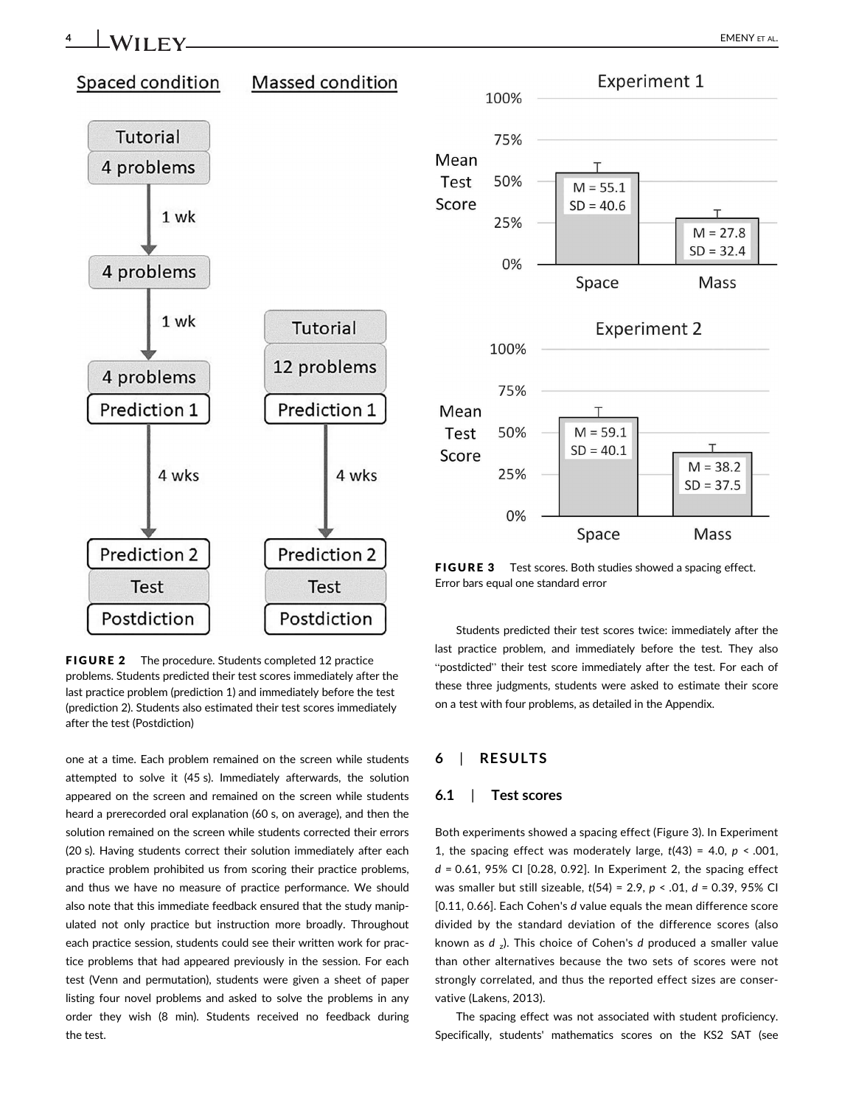## 4 | WII FV <u>| EMENY ET AL.</u>



FIGURE 2 The procedure. Students completed 12 practice problems. Students predicted their test scores immediately after the last practice problem (prediction 1) and immediately before the test (prediction 2). Students also estimated their test scores immediately after the test (Postdiction)

one at a time. Each problem remained on the screen while students attempted to solve it (45 s). Immediately afterwards, the solution appeared on the screen and remained on the screen while students heard a prerecorded oral explanation (60 s, on average), and then the solution remained on the screen while students corrected their errors (20 s). Having students correct their solution immediately after each practice problem prohibited us from scoring their practice problems, and thus we have no measure of practice performance. We should also note that this immediate feedback ensured that the study manipulated not only practice but instruction more broadly. Throughout each practice session, students could see their written work for practice problems that had appeared previously in the session. For each test (Venn and permutation), students were given a sheet of paper listing four novel problems and asked to solve the problems in any order they wish (8 min). Students received no feedback during the test.

Students predicted their test scores twice: immediately after the last practice problem, and immediately before the test. They also "postdicted" their test score immediately after the test. For each of these three judgments, students were asked to estimate their score on a test with four problems, as detailed in the Appendix.

## **RESULTS**

## 6.1 | Test scores

Both experiments showed a spacing effect (Figure 3). In Experiment 1, the spacing effect was moderately large,  $t(43) = 4.0$ ,  $p < .001$ , *d* = 0.61, 95% CI [0.28, 0.92]. In Experiment 2, the spacing effect was smaller but still sizeable, *t*(54) = 2.9, *p* < .01, *d* = 0.39, 95% CI [0.11, 0.66]. Each Cohen's *d* value equals the mean difference score divided by the standard deviation of the difference scores (also known as *d* <sup>z</sup> ). This choice of Cohen's *d* produced a smaller value than other alternatives because the two sets of scores were not strongly correlated, and thus the reported effect sizes are conservative (Lakens, 2013).

The spacing effect was not associated with student proficiency. Specifically, students' mathematics scores on the KS2 SAT (see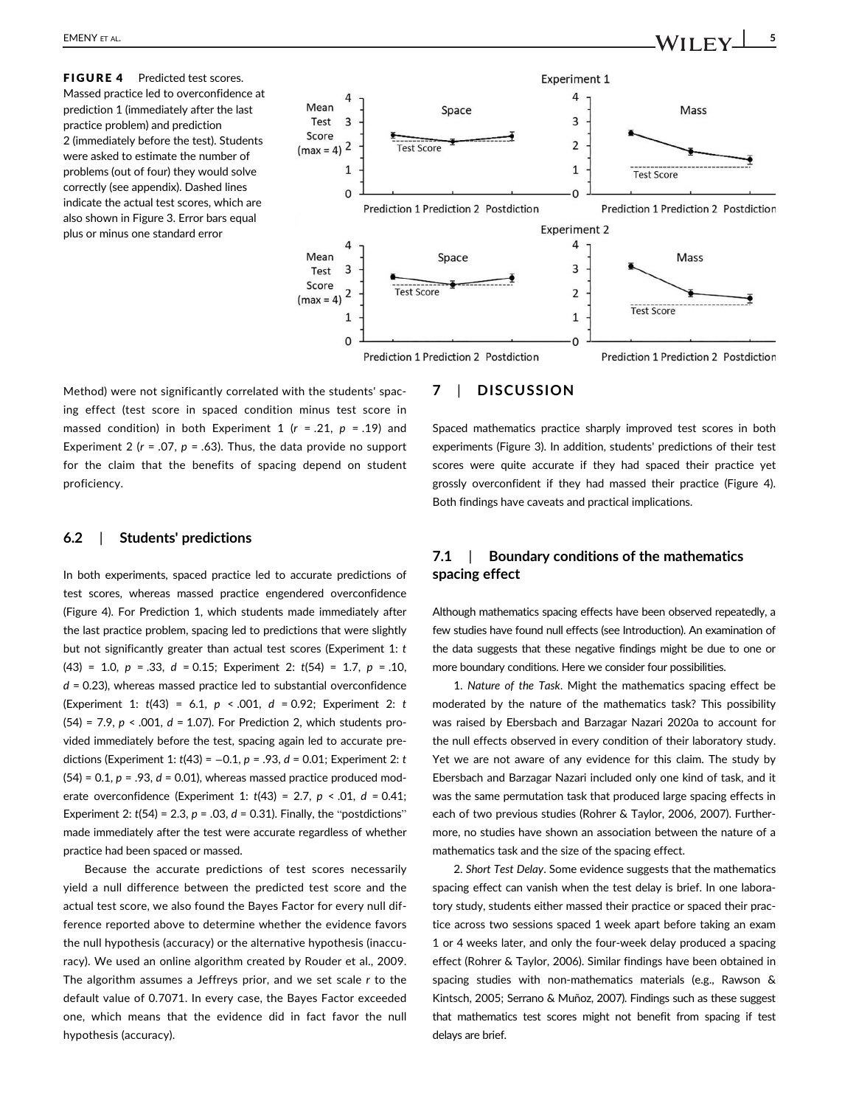



## 7 | DISCUSSION

Method) were not significantly correlated with the students' spacing effect (test score in spaced condition minus test score in massed condition) in both Experiment 1 (*r* = .21, *p* = .19) and Experiment 2 ( $r = .07$ ,  $p = .63$ ). Thus, the data provide no support for the claim that the benefits of spacing depend on student proficiency.

#### 6.2 | Students' predictions

In both experiments, spaced practice led to accurate predictions of test scores, whereas massed practice engendered overconfidence (Figure 4). For Prediction 1, which students made immediately after the last practice problem, spacing led to predictions that were slightly but not significantly greater than actual test scores (Experiment 1: *t* (43) = 1.0, *p* = .33, *d* = 0.15; Experiment 2: *t*(54) = 1.7, *p* = .10, *d* = 0.23), whereas massed practice led to substantial overconfidence (Experiment 1: *t*(43) = 6.1, *p* < .001, *d* = 0.92; Experiment 2: *t* (54) = 7.9, *p* < .001, *d* = 1.07). For Prediction 2, which students provided immediately before the test, spacing again led to accurate predictions (Experiment 1: *t*(43) = −0.1, *p* = .93, *d* = 0.01; Experiment 2: *t* (54) = 0.1, *p* = .93, *d* = 0.01), whereas massed practice produced moderate overconfidence (Experiment 1: *t*(43) = 2.7, *p* < .01, *d* = 0.41; Experiment 2:  $t(54) = 2.3$ ,  $p = .03$ ,  $d = 0.31$ ). Finally, the "postdictions" made immediately after the test were accurate regardless of whether practice had been spaced or massed.

Because the accurate predictions of test scores necessarily yield a null difference between the predicted test score and the actual test score, we also found the Bayes Factor for every null difference reported above to determine whether the evidence favors the null hypothesis (accuracy) or the alternative hypothesis (inaccuracy). We used an online algorithm created by Rouder et al., 2009. The algorithm assumes a Jeffreys prior, and we set scale *r* to the default value of 0.7071. In every case, the Bayes Factor exceeded one, which means that the evidence did in fact favor the null hypothesis (accuracy).

Spaced mathematics practice sharply improved test scores in both experiments (Figure 3). In addition, students' predictions of their test scores were quite accurate if they had spaced their practice yet grossly overconfident if they had massed their practice (Figure 4). Both findings have caveats and practical implications.

## 7.1 | Boundary conditions of the mathematics spacing effect

Although mathematics spacing effects have been observed repeatedly, a few studies have found null effects (see Introduction). An examination of the data suggests that these negative findings might be due to one or more boundary conditions. Here we consider four possibilities.

1. *Nature of the Task*. Might the mathematics spacing effect be moderated by the nature of the mathematics task? This possibility was raised by Ebersbach and Barzagar Nazari 2020a to account for the null effects observed in every condition of their laboratory study. Yet we are not aware of any evidence for this claim. The study by Ebersbach and Barzagar Nazari included only one kind of task, and it was the same permutation task that produced large spacing effects in each of two previous studies (Rohrer & Taylor, 2006, 2007). Furthermore, no studies have shown an association between the nature of a mathematics task and the size of the spacing effect.

2. *Short Test Delay*. Some evidence suggests that the mathematics spacing effect can vanish when the test delay is brief. In one laboratory study, students either massed their practice or spaced their practice across two sessions spaced 1 week apart before taking an exam 1 or 4 weeks later, and only the four-week delay produced a spacing effect (Rohrer & Taylor, 2006). Similar findings have been obtained in spacing studies with non-mathematics materials (e.g., Rawson & Kintsch, 2005; Serrano & Muñoz, 2007). Findings such as these suggest that mathematics test scores might not benefit from spacing if test delays are brief.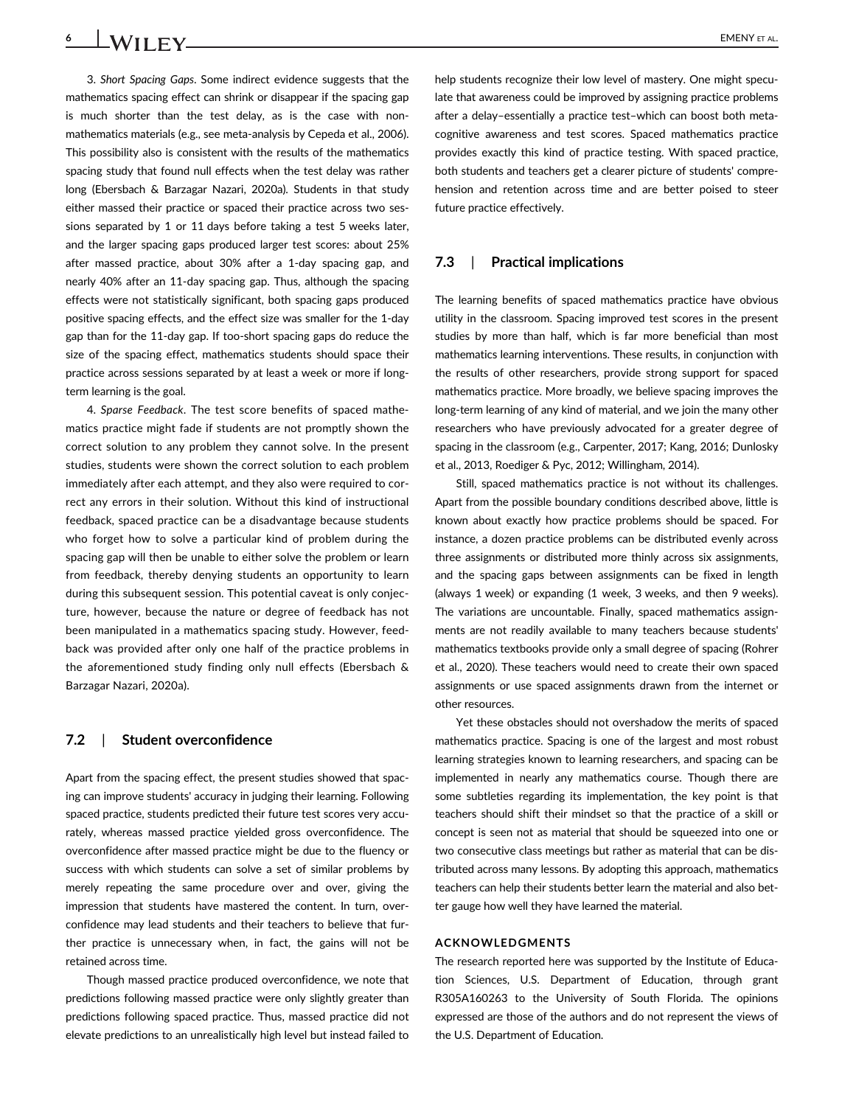3. *Short Spacing Gaps*. Some indirect evidence suggests that the mathematics spacing effect can shrink or disappear if the spacing gap is much shorter than the test delay, as is the case with nonmathematics materials (e.g., see meta-analysis by Cepeda et al., 2006). This possibility also is consistent with the results of the mathematics spacing study that found null effects when the test delay was rather long (Ebersbach & Barzagar Nazari, 2020a). Students in that study either massed their practice or spaced their practice across two sessions separated by 1 or 11 days before taking a test 5 weeks later, and the larger spacing gaps produced larger test scores: about 25% after massed practice, about 30% after a 1-day spacing gap, and nearly 40% after an 11-day spacing gap. Thus, although the spacing effects were not statistically significant, both spacing gaps produced positive spacing effects, and the effect size was smaller for the 1-day

gap than for the 11-day gap. If too-short spacing gaps do reduce the size of the spacing effect, mathematics students should space their practice across sessions separated by at least a week or more if longterm learning is the goal.

4. *Sparse Feedback*. The test score benefits of spaced mathematics practice might fade if students are not promptly shown the correct solution to any problem they cannot solve. In the present studies, students were shown the correct solution to each problem immediately after each attempt, and they also were required to correct any errors in their solution. Without this kind of instructional feedback, spaced practice can be a disadvantage because students who forget how to solve a particular kind of problem during the spacing gap will then be unable to either solve the problem or learn from feedback, thereby denying students an opportunity to learn during this subsequent session. This potential caveat is only conjecture, however, because the nature or degree of feedback has not been manipulated in a mathematics spacing study. However, feedback was provided after only one half of the practice problems in the aforementioned study finding only null effects (Ebersbach & Barzagar Nazari, 2020a).

## 7.2 | Student overconfidence

Apart from the spacing effect, the present studies showed that spacing can improve students' accuracy in judging their learning. Following spaced practice, students predicted their future test scores very accurately, whereas massed practice yielded gross overconfidence. The overconfidence after massed practice might be due to the fluency or success with which students can solve a set of similar problems by merely repeating the same procedure over and over, giving the impression that students have mastered the content. In turn, overconfidence may lead students and their teachers to believe that further practice is unnecessary when, in fact, the gains will not be retained across time.

Though massed practice produced overconfidence, we note that predictions following massed practice were only slightly greater than predictions following spaced practice. Thus, massed practice did not elevate predictions to an unrealistically high level but instead failed to

help students recognize their low level of mastery. One might speculate that awareness could be improved by assigning practice problems after a delay–essentially a practice test–which can boost both metacognitive awareness and test scores. Spaced mathematics practice provides exactly this kind of practice testing. With spaced practice, both students and teachers get a clearer picture of students' comprehension and retention across time and are better poised to steer future practice effectively.

#### 7.3 | Practical implications

The learning benefits of spaced mathematics practice have obvious utility in the classroom. Spacing improved test scores in the present studies by more than half, which is far more beneficial than most mathematics learning interventions. These results, in conjunction with the results of other researchers, provide strong support for spaced mathematics practice. More broadly, we believe spacing improves the long-term learning of any kind of material, and we join the many other researchers who have previously advocated for a greater degree of spacing in the classroom (e.g., Carpenter, 2017; Kang, 2016; Dunlosky et al., 2013, Roediger & Pyc, 2012; Willingham, 2014).

Still, spaced mathematics practice is not without its challenges. Apart from the possible boundary conditions described above, little is known about exactly how practice problems should be spaced. For instance, a dozen practice problems can be distributed evenly across three assignments or distributed more thinly across six assignments, and the spacing gaps between assignments can be fixed in length (always 1 week) or expanding (1 week, 3 weeks, and then 9 weeks). The variations are uncountable. Finally, spaced mathematics assignments are not readily available to many teachers because students' mathematics textbooks provide only a small degree of spacing (Rohrer et al., 2020). These teachers would need to create their own spaced assignments or use spaced assignments drawn from the internet or other resources.

Yet these obstacles should not overshadow the merits of spaced mathematics practice. Spacing is one of the largest and most robust learning strategies known to learning researchers, and spacing can be implemented in nearly any mathematics course. Though there are some subtleties regarding its implementation, the key point is that teachers should shift their mindset so that the practice of a skill or concept is seen not as material that should be squeezed into one or two consecutive class meetings but rather as material that can be distributed across many lessons. By adopting this approach, mathematics teachers can help their students better learn the material and also better gauge how well they have learned the material.

#### ACKNOWLEDGMENTS

The research reported here was supported by the Institute of Education Sciences, U.S. Department of Education, through grant R305A160263 to the University of South Florida. The opinions expressed are those of the authors and do not represent the views of the U.S. Department of Education.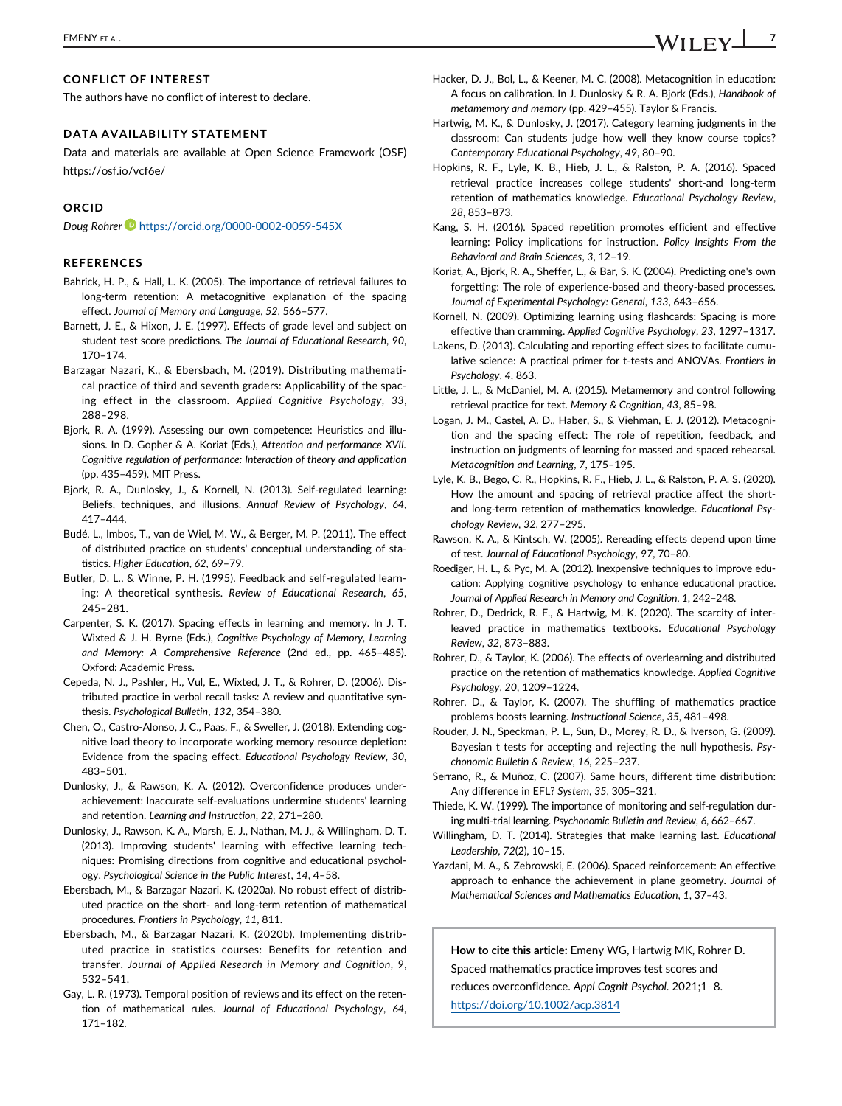## CONFLICT OF INTEREST

The authors have no conflict of interest to declare.

#### DATA AVAILABILITY STATEMENT

Data and materials are available at Open Science Framework (OSF) https://osf.io/vcf6e/

#### ORCID

*Doug Rohrer* https://orcid.org/0000-0002-0059-545X

#### **REFERENCES**

- Bahrick, H. P., & Hall, L. K. (2005). The importance of retrieval failures to long-term retention: A metacognitive explanation of the spacing effect. *Journal of Memory and Language*, *52*, 566–577.
- Barnett, J. E., & Hixon, J. E. (1997). Effects of grade level and subject on student test score predictions. *The Journal of Educational Research*, *90*, 170–174.
- Barzagar Nazari, K., & Ebersbach, M. (2019). Distributing mathematical practice of third and seventh graders: Applicability of the spacing effect in the classroom. *Applied Cognitive Psychology*, *33*, 288–298.
- Bjork, R. A. (1999). Assessing our own competence: Heuristics and illusions. In D. Gopher & A. Koriat (Eds.), *Attention and performance XVII. Cognitive regulation of performance: Interaction of theory and application* (pp. 435–459). MIT Press.
- Bjork, R. A., Dunlosky, J., & Kornell, N. (2013). Self-regulated learning: Beliefs, techniques, and illusions. *Annual Review of Psychology*, *64*, 417–444.
- Budé, L., Imbos, T., van de Wiel, M. W., & Berger, M. P. (2011). The effect of distributed practice on students' conceptual understanding of statistics. *Higher Education*, *62*, 69–79.
- Butler, D. L., & Winne, P. H. (1995). Feedback and self-regulated learning: A theoretical synthesis. *Review of Educational Research*, *65*, 245–281.
- Carpenter, S. K. (2017). Spacing effects in learning and memory. In J. T. Wixted & J. H. Byrne (Eds.), *Cognitive Psychology of Memory, Learning and Memory: A Comprehensive Reference* (2nd ed., pp. 465–485). Oxford: Academic Press.
- Cepeda, N. J., Pashler, H., Vul, E., Wixted, J. T., & Rohrer, D. (2006). Distributed practice in verbal recall tasks: A review and quantitative synthesis. *Psychological Bulletin*, *132*, 354–380.
- Chen, O., Castro-Alonso, J. C., Paas, F., & Sweller, J. (2018). Extending cognitive load theory to incorporate working memory resource depletion: Evidence from the spacing effect. *Educational Psychology Review*, *30*, 483–501.
- Dunlosky, J., & Rawson, K. A. (2012). Overconfidence produces underachievement: Inaccurate self-evaluations undermine students' learning and retention. *Learning and Instruction*, *22*, 271–280.
- Dunlosky, J., Rawson, K. A., Marsh, E. J., Nathan, M. J., & Willingham, D. T. (2013). Improving students' learning with effective learning techniques: Promising directions from cognitive and educational psychology. *Psychological Science in the Public Interest*, *14*, 4–58.
- Ebersbach, M., & Barzagar Nazari, K. (2020a). No robust effect of distributed practice on the short- and long-term retention of mathematical procedures. *Frontiers in Psychology*, *11*, 811.
- Ebersbach, M., & Barzagar Nazari, K. (2020b). Implementing distributed practice in statistics courses: Benefits for retention and transfer. *Journal of Applied Research in Memory and Cognition*, *9*, 532–541.
- Gay, L. R. (1973). Temporal position of reviews and its effect on the retention of mathematical rules. *Journal of Educational Psychology*, *64*, 171–182.
- Hacker, D. J., Bol, L., & Keener, M. C. (2008). Metacognition in education: A focus on calibration. In J. Dunlosky & R. A. Bjork (Eds.), *Handbook of metamemory and memory* (pp. 429–455). Taylor & Francis.
- Hartwig, M. K., & Dunlosky, J. (2017). Category learning judgments in the classroom: Can students judge how well they know course topics? *Contemporary Educational Psychology*, *49*, 80–90.
- Hopkins, R. F., Lyle, K. B., Hieb, J. L., & Ralston, P. A. (2016). Spaced retrieval practice increases college students' short-and long-term retention of mathematics knowledge. *Educational Psychology Review*, *28*, 853–873.
- Kang, S. H. (2016). Spaced repetition promotes efficient and effective learning: Policy implications for instruction. *Policy Insights From the Behavioral and Brain Sciences*, *3*, 12–19.
- Koriat, A., Bjork, R. A., Sheffer, L., & Bar, S. K. (2004). Predicting one's own forgetting: The role of experience-based and theory-based processes. *Journal of Experimental Psychology: General*, *133*, 643–656.
- Kornell, N. (2009). Optimizing learning using flashcards: Spacing is more effective than cramming. *Applied Cognitive Psychology*, *23*, 1297–1317.
- Lakens, D. (2013). Calculating and reporting effect sizes to facilitate cumulative science: A practical primer for t-tests and ANOVAs. *Frontiers in Psychology*, *4*, 863.
- Little, J. L., & McDaniel, M. A. (2015). Metamemory and control following retrieval practice for text. *Memory & Cognition*, *43*, 85–98.
- Logan, J. M., Castel, A. D., Haber, S., & Viehman, E. J. (2012). Metacognition and the spacing effect: The role of repetition, feedback, and instruction on judgments of learning for massed and spaced rehearsal. *Metacognition and Learning*, *7*, 175–195.
- Lyle, K. B., Bego, C. R., Hopkins, R. F., Hieb, J. L., & Ralston, P. A. S. (2020). How the amount and spacing of retrieval practice affect the shortand long-term retention of mathematics knowledge. *Educational Psychology Review*, *32*, 277–295.
- Rawson, K. A., & Kintsch, W. (2005). Rereading effects depend upon time of test. *Journal of Educational Psychology*, *97*, 70–80.
- Roediger, H. L., & Pyc, M. A. (2012). Inexpensive techniques to improve education: Applying cognitive psychology to enhance educational practice. *Journal of Applied Research in Memory and Cognition*, *1*, 242–248.
- Rohrer, D., Dedrick, R. F., & Hartwig, M. K. (2020). The scarcity of interleaved practice in mathematics textbooks. *Educational Psychology Review*, *32*, 873–883.
- Rohrer, D., & Taylor, K. (2006). The effects of overlearning and distributed practice on the retention of mathematics knowledge. *Applied Cognitive Psychology*, *20*, 1209–1224.
- Rohrer, D., & Taylor, K. (2007). The shuffling of mathematics practice problems boosts learning. *Instructional Science*, *35*, 481–498.
- Rouder, J. N., Speckman, P. L., Sun, D., Morey, R. D., & Iverson, G. (2009). Bayesian t tests for accepting and rejecting the null hypothesis. *Psychonomic Bulletin & Review*, *16*, 225–237.
- Serrano, R., & Muñoz, C. (2007). Same hours, different time distribution: Any difference in EFL? *System*, *35*, 305–321.
- Thiede, K. W. (1999). The importance of monitoring and self-regulation during multi-trial learning. *Psychonomic Bulletin and Review*, *6*, 662–667.
- Willingham, D. T. (2014). Strategies that make learning last. *Educational Leadership*, *72*(2), 10–15.
- Yazdani, M. A., & Zebrowski, E. (2006). Spaced reinforcement: An effective approach to enhance the achievement in plane geometry. *Journal of Mathematical Sciences and Mathematics Education*, *1*, 37–43.

How to cite this article: Emeny WG, Hartwig MK, Rohrer D. Spaced mathematics practice improves test scores and reduces overconfidence. *Appl Cognit Psychol*. 2021;1–8.

https://doi.org/10.1002/acp.3814